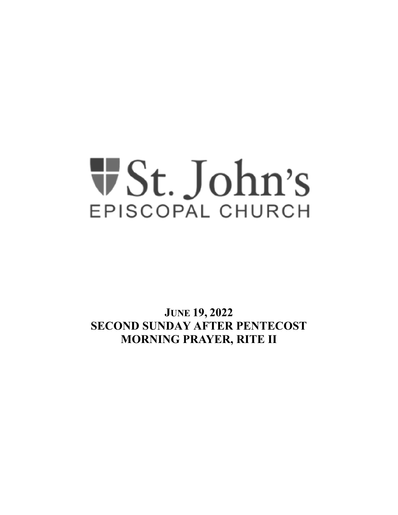# *<del>V</del>St. John's* EPISCOPAL CHURCH

**JUNE 19, 2022 SECOND SUNDAY AFTER PENTECOST MORNING PRAYER, RITE II**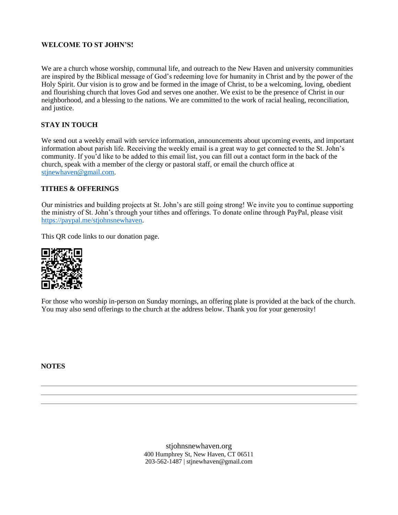# **WELCOME TO ST JOHN'S!**

We are a church whose worship, communal life, and outreach to the New Haven and university communities are inspired by the Biblical message of God's redeeming love for humanity in Christ and by the power of the Holy Spirit. Our vision is to grow and be formed in the image of Christ, to be a welcoming, loving, obedient and flourishing church that loves God and serves one another. We exist to be the presence of Christ in our neighborhood, and a blessing to the nations. We are committed to the work of racial healing, reconciliation, and justice.

# **STAY IN TOUCH**

We send out a weekly email with service information, announcements about upcoming events, and important information about parish life. Receiving the weekly email is a great way to get connected to the St. John's community. If you'd like to be added to this email list, you can fill out a contact form in the back of the church, speak with a member of the clergy or pastoral staff, or email the church office at [stjnewhaven@gmail.com.](about:blank)

# **TITHES & OFFERINGS**

Our ministries and building projects at St. John's are still going strong! We invite you to continue supporting the ministry of St. John's through your tithes and offerings. To donate online through PayPal, please visit [https://paypal.me/stjohnsnewhaven.](about:blank)

This QR code links to our donation page.



For those who worship in-person on Sunday mornings, an offering plate is provided at the back of the church. You may also send offerings to the church at the address below. Thank you for your generosity!

# **NOTES**

stjohnsnewhaven.org 400 Humphrey St, New Haven, CT 06511 203-562-1487 | stjnewhaven@gmail.com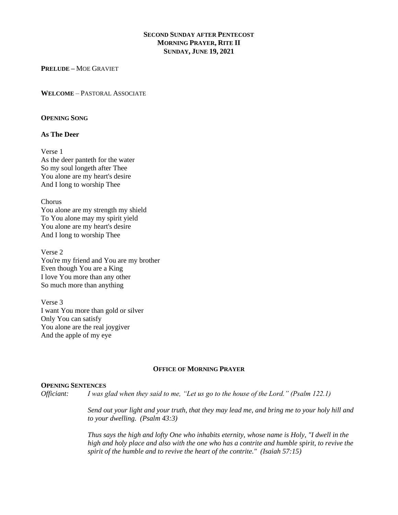# **SECOND SUNDAY AFTER PENTECOST MORNING PRAYER, RITE II SUNDAY, JUNE 19, 2021**

#### **PRELUDE –** MOE GRAVIET

**WELCOME** – PASTORAL ASSOCIATE

# **OPENING SONG**

# **As The Deer**

Verse 1 As the deer panteth for the water So my soul longeth after Thee You alone are my heart's desire And I long to worship Thee

Chorus You alone are my strength my shield To You alone may my spirit yield You alone are my heart's desire And I long to worship Thee

Verse 2 You're my friend and You are my brother Even though You are a King I love You more than any other So much more than anything

Verse 3 I want You more than gold or silver Only You can satisfy You alone are the real joygiver And the apple of my eye

# **OFFICE OF MORNING PRAYER**

#### **OPENING SENTENCES**

*Officiant: I was glad when they said to me, "Let us go to the house of the Lord." (Psalm 122.1)*

*Send out your light and your truth, that they may lead me, and bring me to your holy hill and to your dwelling. (Psalm 43:3)*

*Thus says the high and lofty One who inhabits eternity, whose name is Holy, "I dwell in the high and holy place and also with the one who has a contrite and humble spirit, to revive the spirit of the humble and to revive the heart of the contrite." (Isaiah 57:15)*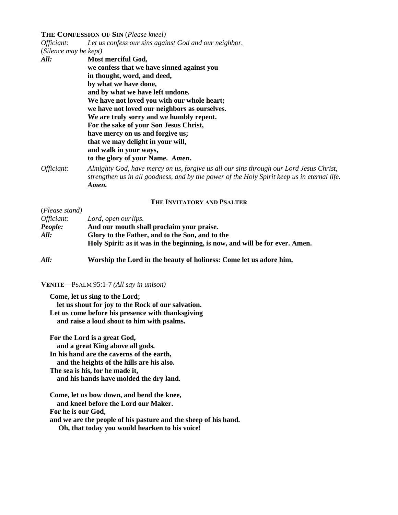#### **THE CONFESSION OF SIN** (*Please kneel)*

| Officiant:            | Let us confess our sins against God and our neighbor.                                                                                                                                          |
|-----------------------|------------------------------------------------------------------------------------------------------------------------------------------------------------------------------------------------|
| (Silence may be kept) |                                                                                                                                                                                                |
| All:                  | Most merciful God,                                                                                                                                                                             |
|                       | we confess that we have sinned against you                                                                                                                                                     |
|                       | in thought, word, and deed,                                                                                                                                                                    |
|                       | by what we have done,                                                                                                                                                                          |
|                       | and by what we have left undone.                                                                                                                                                               |
|                       | We have not loved you with our whole heart;                                                                                                                                                    |
|                       | we have not loved our neighbors as ourselves.                                                                                                                                                  |
|                       | We are truly sorry and we humbly repent.                                                                                                                                                       |
|                       | For the sake of your Son Jesus Christ,                                                                                                                                                         |
|                       | have mercy on us and forgive us;                                                                                                                                                               |
|                       | that we may delight in your will,                                                                                                                                                              |
|                       | and walk in your ways,                                                                                                                                                                         |
|                       | to the glory of your Name. Amen.                                                                                                                                                               |
| Officiant:            | Almighty God, have mercy on us, forgive us all our sins through our Lord Jesus Christ,<br>strengthen us in all goodness, and by the power of the Holy Spirit keep us in eternal life.<br>Amen. |

#### **THE INVITATORY AND PSALTER**

| (Please stand) |                                                                              |
|----------------|------------------------------------------------------------------------------|
| Officiant:     | Lord, open our lips.                                                         |
| People:        | And our mouth shall proclaim your praise.                                    |
| All:           | Glory to the Father, and to the Son, and to the                              |
|                | Holy Spirit: as it was in the beginning, is now, and will be for ever. Amen. |
| All:           | Worship the Lord in the beauty of holiness: Come let us adore him.           |

#### **VENITE—**PSALM 95:1-7 *(All say in unison)*

**Come, let us sing to the Lord; let us shout for joy to the Rock of our salvation. Let us come before his presence with thanksgiving** 

 **and raise a loud shout to him with psalms.**

**For the Lord is a great God, and a great King above all gods. In his hand are the caverns of the earth, and the heights of the hills are his also. The sea is his, for he made it, and his hands have molded the dry land.**

**Come, let us bow down, and bend the knee, and kneel before the Lord our Maker.**

**For he is our God,**

**and we are the people of his pasture and the sheep of his hand.** 

 **Oh, that today you would hearken to his voice!**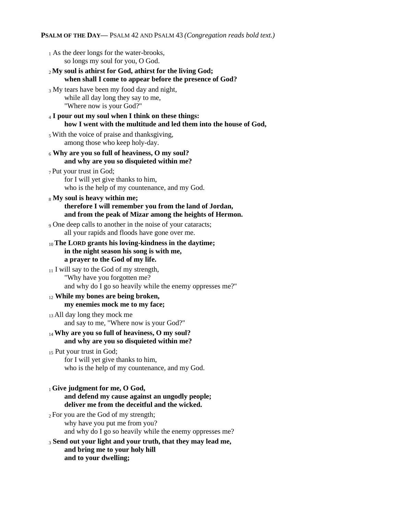## **PSALM OF THE DAY—** PSALM 42 AND PSALM 43 *(Congregation reads bold text.)*

- <sup>1</sup> As the deer longs for the water-brooks, so longs my soul for you, O God.
- <sup>2</sup> **My soul is athirst for God, athirst for the living God; when shall I come to appear before the presence of God?**
- 3 My tears have been my food day and night, while all day long they say to me, "Where now is your God?"
- <sup>4</sup> **I pour out my soul when I think on these things: how I went with the multitude and led them into the house of God,**
- <sup>5</sup>With the voice of praise and thanksgiving, among those who keep holy-day.

# <sup>6</sup> **Why are you so full of heaviness, O my soul? and why are you so disquieted within me?**

- <sup>7</sup>Put your trust in God; for I will yet give thanks to him, who is the help of my countenance, and my God.
- <sup>8</sup> **My soul is heavy within me; therefore I will remember you from the land of Jordan, and from the peak of Mizar among the heights of Hermon.**
- <sup>9</sup> One deep calls to another in the noise of your cataracts; all your rapids and floods have gone over me.
- <sup>10</sup>**The LORD grants his loving-kindness in the daytime; in the night season his song is with me, a prayer to the God of my life.**
- $_{11}$  I will say to the God of my strength, "Why have you forgotten me? and why do I go so heavily while the enemy oppresses me?"

## <sup>12</sup> **While my bones are being broken, my enemies mock me to my face;**

<sup>13</sup>All day long they mock me and say to me, "Where now is your God?"

# <sup>14</sup>**Why are you so full of heaviness, O my soul? and why are you so disquieted within me?**

- <sup>15</sup> Put your trust in God; for I will yet give thanks to him,
	- who is the help of my countenance, and my God.

# <sup>1</sup> **Give judgment for me, O God, and defend my cause against an ungodly people; deliver me from the deceitful and the wicked.**

# <sup>2</sup>For you are the God of my strength; why have you put me from you? and why do I go so heavily while the enemy oppresses me?

<sup>3</sup> **Send out your light and your truth, that they may lead me, and bring me to your holy hill and to your dwelling;**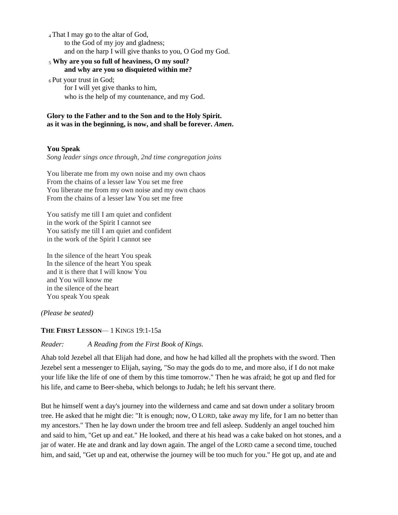<sup>4</sup>That I may go to the altar of God, to the God of my joy and gladness; and on the harp I will give thanks to you, O God my God.

# <sup>5</sup> **Why are you so full of heaviness, O my soul? and why are you so disquieted within me?**

<sup>6</sup>Put your trust in God;

for I will yet give thanks to him, who is the help of my countenance, and my God.

# **Glory to the Father and to the Son and to the Holy Spirit. as it was in the beginning, is now, and shall be forever.** *Amen***.**

# **You Speak**

*Song leader sings once through, 2nd time congregation joins*

You liberate me from my own noise and my own chaos From the chains of a lesser law You set me free You liberate me from my own noise and my own chaos From the chains of a lesser law You set me free

You satisfy me till I am quiet and confident in the work of the Spirit I cannot see You satisfy me till I am quiet and confident in the work of the Spirit I cannot see

In the silence of the heart You speak In the silence of the heart You speak and it is there that I will know You and You will know me in the silence of the heart You speak You speak

*(Please be seated)*

# **THE FIRST LESSON***—* 1 KINGS 19:1-15a

*Reader: A Reading from the First Book of Kings.*

Ahab told Jezebel all that Elijah had done, and how he had killed all the prophets with the sword. Then Jezebel sent a messenger to Elijah, saying, "So may the gods do to me, and more also, if I do not make your life like the life of one of them by this time tomorrow." Then he was afraid; he got up and fled for his life, and came to Beer-sheba, which belongs to Judah; he left his servant there.

But he himself went a day's journey into the wilderness and came and sat down under a solitary broom tree. He asked that he might die: "It is enough; now, O LORD, take away my life, for I am no better than my ancestors." Then he lay down under the broom tree and fell asleep. Suddenly an angel touched him and said to him, "Get up and eat." He looked, and there at his head was a cake baked on hot stones, and a jar of water. He ate and drank and lay down again. The angel of the LORD came a second time, touched him, and said, "Get up and eat, otherwise the journey will be too much for you." He got up, and ate and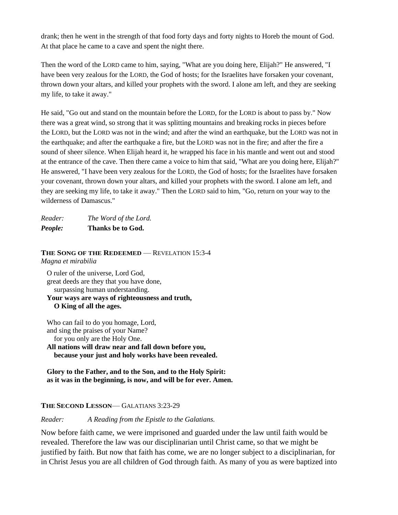drank; then he went in the strength of that food forty days and forty nights to Horeb the mount of God. At that place he came to a cave and spent the night there.

Then the word of the LORD came to him, saying, "What are you doing here, Elijah?" He answered, "I have been very zealous for the LORD, the God of hosts; for the Israelites have forsaken your covenant, thrown down your altars, and killed your prophets with the sword. I alone am left, and they are seeking my life, to take it away."

He said, "Go out and stand on the mountain before the LORD, for the LORD is about to pass by." Now there was a great wind, so strong that it was splitting mountains and breaking rocks in pieces before the LORD, but the LORD was not in the wind; and after the wind an earthquake, but the LORD was not in the earthquake; and after the earthquake a fire, but the LORD was not in the fire; and after the fire a sound of sheer silence. When Elijah heard it, he wrapped his face in his mantle and went out and stood at the entrance of the cave. Then there came a voice to him that said, "What are you doing here, Elijah?" He answered, "I have been very zealous for the LORD, the God of hosts; for the Israelites have forsaken your covenant, thrown down your altars, and killed your prophets with the sword. I alone am left, and they are seeking my life, to take it away." Then the LORD said to him, "Go, return on your way to the wilderness of Damascus."

*Reader: The Word of the Lord. People:* **Thanks be to God.**

# **THE SONG OF THE REDEEMED** — REVELATION 15:3-4 *Magna et mirabilia*

O ruler of the universe, Lord God, great deeds are they that you have done, surpassing human understanding. **Your ways are ways of righteousness and truth, O King of all the ages.**

Who can fail to do you homage, Lord, and sing the praises of your Name? for you only are the Holy One. **All nations will draw near and fall down before you, because your just and holy works have been revealed.**

# **Glory to the Father, and to the Son, and to the Holy Spirit: as it was in the beginning, is now, and will be for ever. Amen.**

# **THE SECOND LESSON**— GALATIANS 3:23-29

# *Reader: A Reading from the Epistle to the Galatians.*

Now before faith came, we were imprisoned and guarded under the law until faith would be revealed. Therefore the law was our disciplinarian until Christ came, so that we might be justified by faith. But now that faith has come, we are no longer subject to a disciplinarian, for in Christ Jesus you are all children of God through faith. As many of you as were baptized into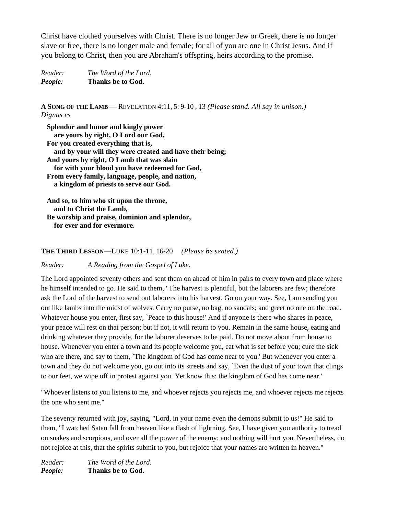Christ have clothed yourselves with Christ. There is no longer Jew or Greek, there is no longer slave or free, there is no longer male and female; for all of you are one in Christ Jesus. And if you belong to Christ, then you are Abraham's offspring, heirs according to the promise.

*Reader: The Word of the Lord. People:* **Thanks be to God.**

**A SONG OF THE LAMB** — REVELATION 4:11, 5: 9-10 , 13 *(Please stand. All say in unison.) Dignus es*

**Splendor and honor and kingly power are yours by right, O Lord our God, For you created everything that is, and by your will they were created and have their being; And yours by right, O Lamb that was slain for with your blood you have redeemed for God, From every family, language, people, and nation, a kingdom of priests to serve our God. And so, to him who sit upon the throne,**

 **and to Christ the Lamb, Be worship and praise, dominion and splendor, for ever and for evermore.**

**THE THIRD LESSON—**LUKE 10:1-11, 16-20 *(Please be seated.)*

*Reader: A Reading from the Gospel of Luke.*

The Lord appointed seventy others and sent them on ahead of him in pairs to every town and place where he himself intended to go. He said to them, "The harvest is plentiful, but the laborers are few; therefore ask the Lord of the harvest to send out laborers into his harvest. Go on your way. See, I am sending you out like lambs into the midst of wolves. Carry no purse, no bag, no sandals; and greet no one on the road. Whatever house you enter, first say, `Peace to this house!' And if anyone is there who shares in peace, your peace will rest on that person; but if not, it will return to you. Remain in the same house, eating and drinking whatever they provide, for the laborer deserves to be paid. Do not move about from house to house. Whenever you enter a town and its people welcome you, eat what is set before you; cure the sick who are there, and say to them, `The kingdom of God has come near to you.' But whenever you enter a town and they do not welcome you, go out into its streets and say, `Even the dust of your town that clings to our feet, we wipe off in protest against you. Yet know this: the kingdom of God has come near.'

"Whoever listens to you listens to me, and whoever rejects you rejects me, and whoever rejects me rejects the one who sent me."

The seventy returned with joy, saying, "Lord, in your name even the demons submit to us!" He said to them, "I watched Satan fall from heaven like a flash of lightning. See, I have given you authority to tread on snakes and scorpions, and over all the power of the enemy; and nothing will hurt you. Nevertheless, do not rejoice at this, that the spirits submit to you, but rejoice that your names are written in heaven."

*Reader: The Word of the Lord. People:* **Thanks be to God.**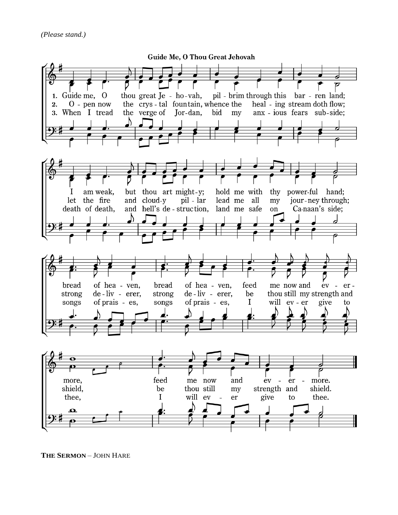*(Please stand.)*



**THE SERMON** – JOHN HARE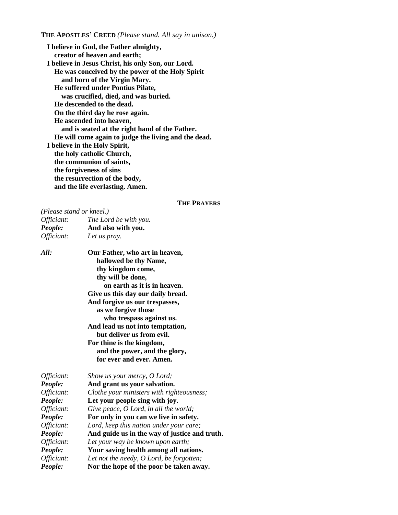**I believe in God, the Father almighty, creator of heaven and earth; I believe in Jesus Christ, his only Son, our Lord. He was conceived by the power of the Holy Spirit and born of the Virgin Mary. He suffered under Pontius Pilate, was crucified, died, and was buried. He descended to the dead. On the third day he rose again. He ascended into heaven, and is seated at the right hand of the Father. He will come again to judge the living and the dead. I believe in the Holy Spirit, the holy catholic Church, the communion of saints, the forgiveness of sins the resurrection of the body, and the life everlasting. Amen.**

*(Please stand or kneel.)*

#### **THE PRAYERS**

| Officiant: | The Lord be with you.                         |
|------------|-----------------------------------------------|
| People:    | And also with you.                            |
| Officiant: | Let us pray.                                  |
| All:       | Our Father, who art in heaven,                |
|            | hallowed be thy Name,                         |
|            | thy kingdom come,                             |
|            | thy will be done,                             |
|            | on earth as it is in heaven.                  |
|            | Give us this day our daily bread.             |
|            | And forgive us our trespasses,                |
|            | as we forgive those                           |
|            | who trespass against us.                      |
|            | And lead us not into temptation,              |
|            | but deliver us from evil.                     |
|            | For thine is the kingdom,                     |
|            | and the power, and the glory,                 |
|            | for ever and ever. Amen.                      |
| Officiant: | Show us your mercy, O Lord;                   |
| People:    | And grant us your salvation.                  |
| Officiant: | Clothe your ministers with righteousness;     |
| People:    | Let your people sing with joy.                |
| Officiant: | Give peace, O Lord, in all the world;         |
| People:    | For only in you can we live in safety.        |
| Officiant: | Lord, keep this nation under your care;       |
| People:    | And guide us in the way of justice and truth. |
| Officiant: | Let your way be known upon earth;             |
| People:    | Your saving health among all nations.         |
| Officiant: | Let not the needy, $O$ Lord, be forgotten;    |
| People:    | Nor the hope of the poor be taken away.       |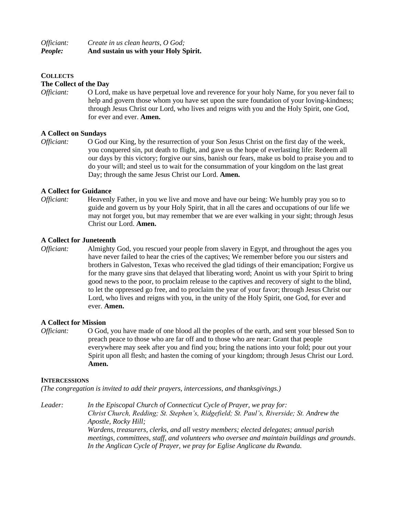| <b>People:</b> | And sustain us with your Holy Spirit. |
|----------------|---------------------------------------|
| Officiant:     | Create in us clean hearts, O God;     |

# **COLLECTS**

## **The Collect of the Day**

*Officiant:* O Lord, make us have perpetual love and reverence for your holy Name, for you never fail to help and govern those whom you have set upon the sure foundation of your loving-kindness; through Jesus Christ our Lord, who lives and reigns with you and the Holy Spirit, one God, for ever and ever. **Amen.**

# **A Collect on Sundays**

*Officiant:* O God our King, by the resurrection of your Son Jesus Christ on the first day of the week, you conquered sin, put death to flight, and gave us the hope of everlasting life: Redeem all our days by this victory; forgive our sins, banish our fears, make us bold to praise you and to do your will; and steel us to wait for the consummation of your kingdom on the last great Day; through the same Jesus Christ our Lord. **Amen.**

# **A Collect for Guidance**

*Officiant:* Heavenly Father, in you we live and move and have our being: We humbly pray you so to guide and govern us by your Holy Spirit, that in all the cares and occupations of our life we may not forget you, but may remember that we are ever walking in your sight; through Jesus Christ our Lord. **Amen.**

# **A Collect for Juneteenth**

*Officiant:* Almighty God, you rescued your people from slavery in Egypt, and throughout the ages you have never failed to hear the cries of the captives; We remember before you our sisters and brothers in Galveston, Texas who received the glad tidings of their emancipation; Forgive us for the many grave sins that delayed that liberating word; Anoint us with your Spirit to bring good news to the poor, to proclaim release to the captives and recovery of sight to the blind, to let the oppressed go free, and to proclaim the year of your favor; through Jesus Christ our Lord, who lives and reigns with you, in the unity of the Holy Spirit, one God, for ever and ever. **Amen.**

## **A Collect for Mission**

*Officiant:* O God, you have made of one blood all the peoples of the earth, and sent your blessed Son to preach peace to those who are far off and to those who are near: Grant that people everywhere may seek after you and find you; bring the nations into your fold; pour out your Spirit upon all flesh; and hasten the coming of your kingdom; through Jesus Christ our Lord. **Amen.**

#### **INTERCESSIONS**

*(The congregation is invited to add their prayers, intercessions, and thanksgivings.)*

*Leader: In the Episcopal Church of Connecticut Cycle of Prayer, we pray for: Christ Church, Redding; St. Stephen's, Ridgefield; St. Paul's, Riverside; St. Andrew the Apostle, Rocky Hill; Wardens, treasurers, clerks, and all vestry members; elected delegates; annual parish meetings, committees, staff, and volunteers who oversee and maintain buildings and grounds. In the Anglican Cycle of Prayer, we pray for Eglise Anglicane du Rwanda.*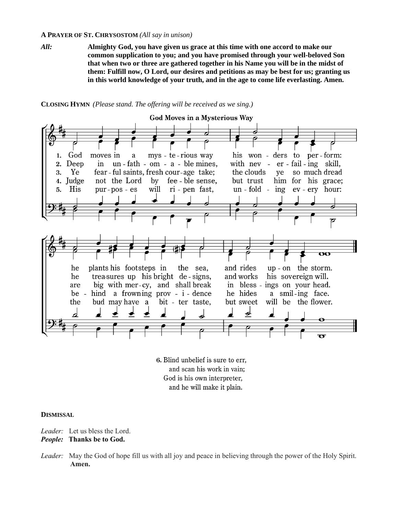# **A PRAYER OF ST. CHRYSOSTOM** *(All say in unison)*

*All:* **Almighty God, you have given us grace at this time with one accord to make our common supplication to you; and you have promised through your well-beloved Son that when two or three are gathered together in his Name you will be in the midst of them: Fulfill now, O Lord, our desires and petitions as may be best for us; granting us in this world knowledge of your truth, and in the age to come life everlasting. Amen.**

**CLOSING HYMN** *(Please stand. The offering will be received as we sing.)*



6. Blind unbelief is sure to err, and scan his work in vain; God is his own interpreter, and he will make it plain.

# **DISMISSAL**

- *Leader:* Let us bless the Lord.
- *People:* **Thanks be to God.**

*Leader:* May the God of hope fill us with all joy and peace in believing through the power of the Holy Spirit. **Amen.**